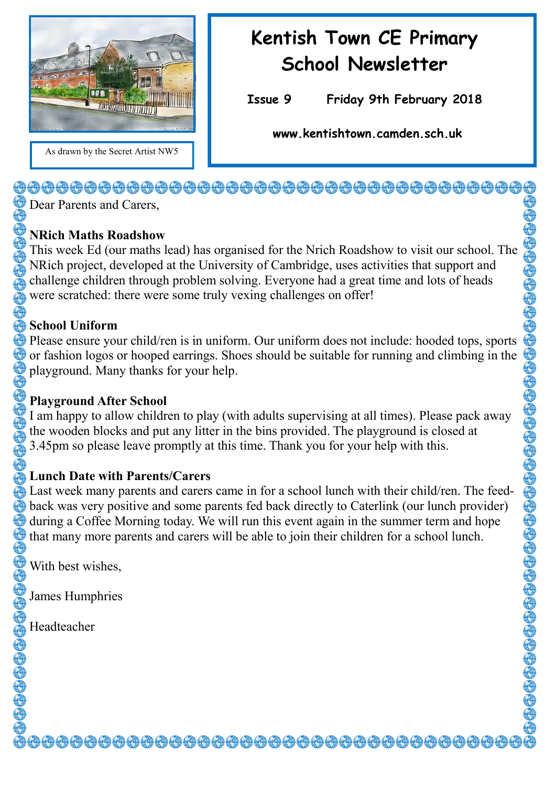

# **Kentish Town CE Primary School Newsletter**

**Issue 9 Friday 9th February 2018** 

**www.kentishtown.camden.sch.uk** 

<del>0000000000000000000000000000000000</del>

Dear Parents and Carers,

# **NRich Maths Roadshow**

This week Ed (our maths lead) has organised for the Nrich Roadshow to visit our school. The NRich project, developed at the University of Cambridge, uses activities that support and challenge children through problem solving. Everyone had a great time and lots of heads were scratched: there were some truly vexing challenges on offer!

# **School Uniform**

Please ensure your child/ren is in uniform. Our uniform does not include: hooded tops, sports or fashion logos or hooped earrings. Shoes should be suitable for running and climbing in the playground. Many thanks for your help.

# **Playground After School**

I am happy to allow children to play (with adults supervising at all times). Please pack away the wooden blocks and put any litter in the bins provided. The playground is closed at 3.45pm so please leave promptly at this time. Thank you for your help with this.

# **Lunch Date with Parents/Carers**

Last week many parents and carers came in for a school lunch with their child/ren. The feedback was very positive and some parents fed back directly to Caterlink (our lunch provider) during a Coffee Morning today. We will run this event again in the summer term and hope that many more parents and carers will be able to join their children for a school lunch.

<del>ऄѼѼѼѼѼѼѼѼѼѼѼѼѼѼѼѼѼѼѼѼѼѼѼѼ</del>

With best wishes,

James Humphries

Headteacher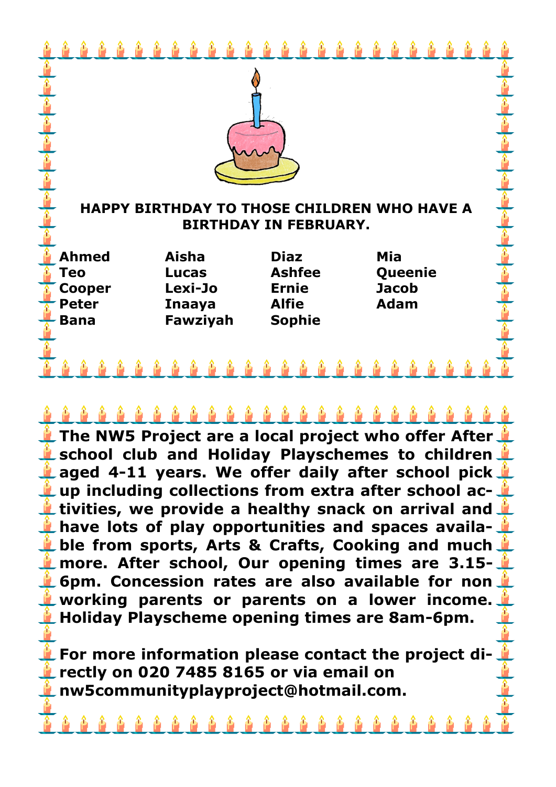| <b>HAPPY BIRTHDAY TO THOSE CHILDREN WHO HAVE A</b><br><b>BIRTHDAY IN FEBRUARY.</b> |  |                         |  |              |               |  |  |                         |  |  |  |  |  |  |
|------------------------------------------------------------------------------------|--|-------------------------|--|--------------|---------------|--|--|-------------------------|--|--|--|--|--|--|
|                                                                                    |  |                         |  |              |               |  |  |                         |  |  |  |  |  |  |
|                                                                                    |  |                         |  |              |               |  |  |                         |  |  |  |  |  |  |
| <b>Ahmed</b>                                                                       |  | <b>Aisha</b>            |  | <b>Diaz</b>  |               |  |  | Mia                     |  |  |  |  |  |  |
| <b>Teo</b>                                                                         |  | <b>Lucas</b><br>Lexi-Jo |  | <b>Ernie</b> | <b>Ashfee</b> |  |  | Queenie<br><b>Jacob</b> |  |  |  |  |  |  |
| <b>Cooper</b><br><b>Peter</b>                                                      |  | <b>Inaaya</b>           |  | <b>Alfie</b> |               |  |  | <b>Adam</b>             |  |  |  |  |  |  |
| <b>Bana</b>                                                                        |  | Fawziyah                |  |              | <b>Sophie</b> |  |  |                         |  |  |  |  |  |  |
|                                                                                    |  |                         |  |              |               |  |  |                         |  |  |  |  |  |  |
|                                                                                    |  |                         |  |              |               |  |  |                         |  |  |  |  |  |  |

**The NW5 Project are a local project who offer After school club and Holiday Playschemes to children L** aged 4-11 years. We offer daily after school pick **up including collections from extra after school activities, we provide a healthy snack on arrival and have lots of play opportunities and spaces available from sports, Arts & Crafts, Cooking and much more. After school, Our opening times are 3.15- 6pm. Concession rates are also available for non working parents or parents on a lower income. Holiday Playscheme opening times are 8am-6pm.**

**E** For more information please contact the project di**rectly on 020 7485 8165 or via email on nw5communityplayproject@hotmail.com.**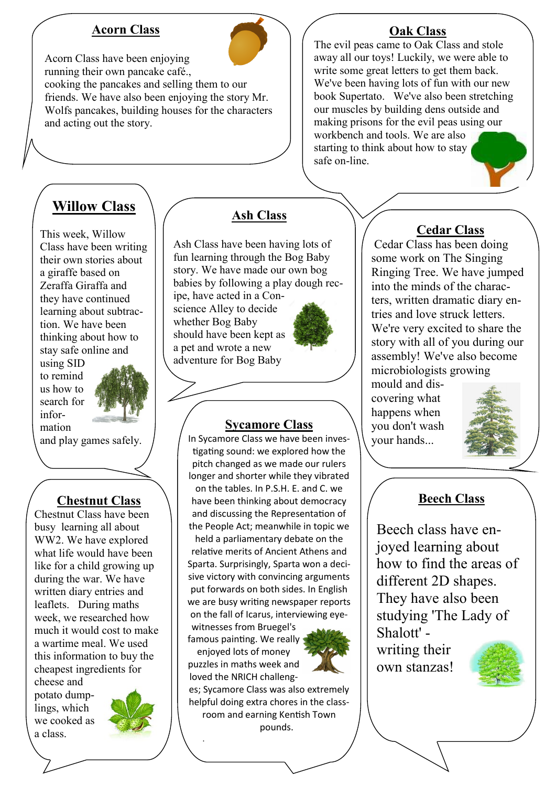#### **Acorn Class**



Acorn Class have been enjoying running their own pancake café.,

cooking the pancakes and selling them to our friends. We have also been enjoying the story Mr. Wolfs pancakes, building houses for the characters and acting out the story.

# **Willow Class**

This week, Willow Class have been writing their own stories about a giraffe based on Zeraffa Giraffa and they have continued learning about subtraction. We have been thinking about how to stay safe online and

using SID to remind us how to search for information



and play games safely.

#### **Chestnut Class**

Chestnut Class have been busy learning all about WW2. We have explored what life would have been like for a child growing up during the war. We have written diary entries and leaflets. During maths week, we researched how much it would cost to make a wartime meal. We used this information to buy the cheapest ingredients for cheese and

potato dumplings, which we cooked as a class.



### **Ash Class**

Ash Class have been having lots of fun learning through the Bog Baby story. We have made our own bog babies by following a play dough rec-

ipe, have acted in a Conscience Alley to decide whether Bog Baby should have been kept as a pet and wrote a new adventure for Bog Baby



#### **Sycamore Class**

In Sycamore Class we have been investigating sound: we explored how the pitch changed as we made our rulers longer and shorter while they vibrated on the tables. In P.S.H. E. and C. we have been thinking about democracy and discussing the Representation of the People Act; meanwhile in topic we held a parliamentary debate on the

relative merits of Ancient Athens and Sparta. Surprisingly, Sparta won a decisive victory with convincing arguments put forwards on both sides. In English we are busy writing newspaper reports on the fall of Icarus, interviewing eye-

witnesses from Bruegel's famous painting. We really enjoyed lots of money puzzles in maths week and

.



es; Sycamore Class was also extremely helpful doing extra chores in the classroom and earning Kentish Town

pounds.

#### **Oak Class**

The evil peas came to Oak Class and stole away all our toys! Luckily, we were able to write some great letters to get them back. We've been having lots of fun with our new book Supertato. We've also been stretching our muscles by building dens outside and making prisons for the evil peas using our workbench and tools. We are also starting to think about how to stay safe on-line.

## **Cedar Class**

Cedar Class has been doing some work on The Singing Ringing Tree. We have jumped into the minds of the characters, written dramatic diary entries and love struck letters. We're very excited to share the story with all of you during our assembly! We've also become microbiologists growing

mould and discovering what happens when you don't wash your hands...



#### **Beech Class**

Beech class have enjoyed learning about how to find the areas of different 2D shapes. They have also been studying 'The Lady of Shalott' writing their

own stanzas!